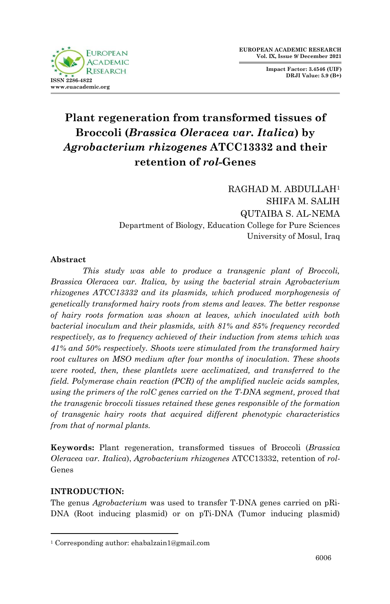

**Impact Factor: 3.4546 (UIF) DRJI Value: 5.9 (B+)**

# **Plant regeneration from transformed tissues of Broccoli (***Brassica Oleracea var. Italica***) by**  *Agrobacterium rhizogenes* **ATCC13332 and their retention of** *rol***-Genes**

 RAGHAD M. ABDULLAH<sup>1</sup> SHIFA M. SALIH QUTAIBA S. AL-NEMA Department of Biology, Education College for Pure Sciences University of Mosul, Iraq

## **Abstract**

*This study was able to produce a transgenic plant of Broccoli, Brassica Oleracea var. Italica, by using the bacterial strain Agrobacterium rhizogenes ATCC13332 and its plasmids, which produced morphogenesis of genetically transformed hairy roots from stems and leaves. The better response of hairy roots formation was shown at leaves, which inoculated with both bacterial inoculum and their plasmids, with 81% and 85% frequency recorded respectively, as to frequency achieved of their induction from stems which was 41% and 50% respectively. Shoots were stimulated from the transformed hairy root cultures on MSO medium after four months of inoculation. These shoots were rooted, then, these plantlets were acclimatized, and transferred to the field. Polymerase chain reaction (PCR) of the amplified nucleic acids samples, using the primers of the rolC genes carried on the T-DNA segment, proved that the transgenic broccoli tissues retained these genes responsible of the formation of transgenic hairy roots that acquired different phenotypic characteristics from that of normal plants.*

**Keywords:** Plant regeneration, transformed tissues of Broccoli (*Brassica Oleracea var. Italica*), *Agrobacterium rhizogenes* ATCC13332, retention of *rol*-Genes

## **INTRODUCTION:**

1

The genus *Agrobacterium* was used to transfer T-DNA genes carried on pRi-DNA (Root inducing plasmid) or on pTi-DNA (Tumor inducing plasmid)

<sup>1</sup> Corresponding author: ehabalzain1@gmail.com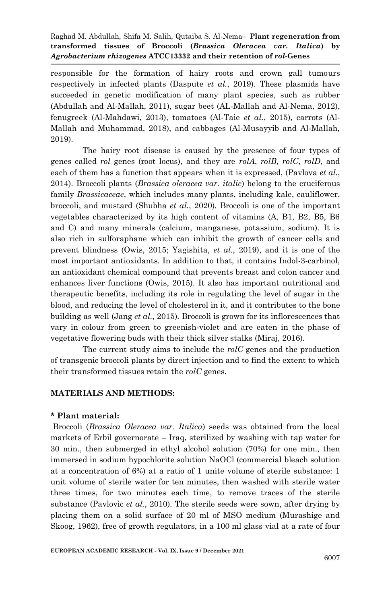responsible for the formation of hairy roots and crown gall tumours respectively in infected plants (Daspute *et al.*, 2019). These plasmids have succeeded in genetic modification of many plant species, such as rubber (Abdullah and Al-Mallah, 2011), sugar beet (AL-Mallah and Al-Nema, 2012), fenugreek (Al-Mahdawi, 2013), tomatoes (Al-Taie *et al.*, 2015), carrots (Al-Mallah and Muhammad, 2018), and cabbages (Al-Musayyib and Al-Mallah, 2019).

The hairy root disease is caused by the presence of four types of genes called *rol* genes (root locus), and they are *rolA*, *rolB*, *rolC*, *rolD*, and each of them has a function that appears when it is expressed, (Pavlova *et al.*, 2014). Broccoli plants (*Brassica oleracea var. italic*) belong to the cruciferous family *Brassicaceae*, which includes many plants, including kale, cauliflower, broccoli, and mustard (Shubha *et al.*, 2020). Broccoli is one of the important vegetables characterized by its high content of vitamins (A, B1, B2, B5, B6 and C) and many minerals (calcium, manganese, potassium, sodium). It is also rich in sulforaphane which can inhibit the growth of cancer cells and prevent blindness (Owis, 2015; Yagishita, *et al.*, 2019), and it is one of the most important antioxidants. In addition to that, it contains Indol-3-carbinol, an antioxidant chemical compound that prevents breast and colon cancer and enhances liver functions (Owis, 2015). It also has important nutritional and therapeutic benefits, including its role in regulating the level of sugar in the blood, and reducing the level of cholesterol in it, and it contributes to the bone building as well (Jang *et al.*, 2015). Broccoli is grown for its inflorescences that vary in colour from green to greenish-violet and are eaten in the phase of vegetative flowering buds with their thick silver stalks (Miraj, 2016).

The current study aims to include the *rolC* genes and the production of transgenic broccoli plants by direct injection and to find the extent to which their transformed tissues retain the *rolC* genes.

#### **MATERIALS AND METHODS:**

#### **\* Plant material:**

Broccoli (*Brassica Oleracea var. Italica*) seeds was obtained from the local markets of Erbil governorate – Iraq, sterilized by washing with tap water for 30 min., then submerged in ethyl alcohol solution (70%) for one min., then immersed in sodium hypochlorite solution NaOCl (commercial bleach solution at a concentration of 6%) at a ratio of 1 unite volume of sterile substance: 1 unit volume of sterile water for ten minutes, then washed with sterile water three times, for two minutes each time, to remove traces of the sterile substance (Pavlovic *et al.*, 2010). The sterile seeds were sown, after drying by placing them on a solid surface of 20 ml of MSO medium (Murashige and Skoog, 1962), free of growth regulators, in a 100 ml glass vial at a rate of four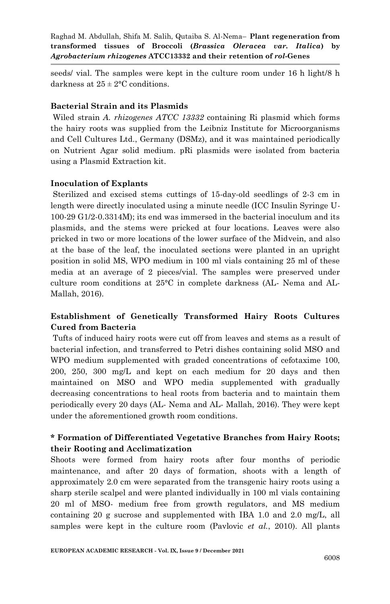seeds/ vial. The samples were kept in the culture room under 16 h light/8 h darkness at  $25 \pm 2$ °C conditions.

## **Bacterial Strain and its Plasmids**

Wiled strain *A. rhizogenes ATCC 13332* containing Ri plasmid which forms the hairy roots was supplied from the Leibniz Institute for Microorganisms and Cell Cultures Ltd., Germany (DSMz), and it was maintained periodically on Nutrient Agar solid medium. pRi plasmids were isolated from bacteria using a Plasmid Extraction kit.

## **Inoculation of Explants**

Sterilized and excised stems cuttings of 15-day-old seedlings of 2-3 cm in length were directly inoculated using a minute needle (ICC Insulin Syringe U-100-29 G1/2-0.3314M); its end was immersed in the bacterial inoculum and its plasmids, and the stems were pricked at four locations. Leaves were also pricked in two or more locations of the lower surface of the Midvein, and also at the base of the leaf, the inoculated sections were planted in an upright position in solid MS, WPO medium in 100 ml vials containing 25 ml of these media at an average of 2 pieces/vial. The samples were preserved under culture room conditions at 25°C in complete darkness (AL- Nema and AL-Mallah, 2016).

# **Establishment of Genetically Transformed Hairy Roots Cultures Cured from Bacteria**

Tufts of induced hairy roots were cut off from leaves and stems as a result of bacterial infection, and transferred to Petri dishes containing solid MSO and WPO medium supplemented with graded concentrations of cefotaxime 100, 200, 250, 300 mg/L and kept on each medium for 20 days and then maintained on MSO and WPO media supplemented with gradually decreasing concentrations to heal roots from bacteria and to maintain them periodically every 20 days (AL- Nema and AL- Mallah, 2016). They were kept under the aforementioned growth room conditions.

# **\* Formation of Differentiated Vegetative Branches from Hairy Roots; their Rooting and Acclimatization**

Shoots were formed from hairy roots after four months of periodic maintenance, and after 20 days of formation, shoots with a length of approximately 2.0 cm were separated from the transgenic hairy roots using a sharp sterile scalpel and were planted individually in 100 ml vials containing 20 ml of MSO- medium free from growth regulators, and MS medium containing 20 g sucrose and supplemented with IBA 1.0 and 2.0 mg/L, all samples were kept in the culture room (Pavlovic *et al.*, 2010). All plants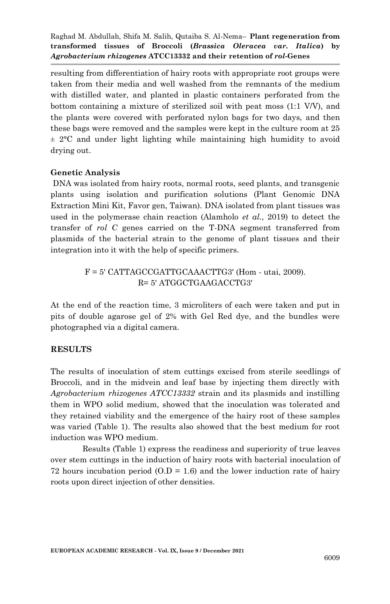resulting from differentiation of hairy roots with appropriate root groups were taken from their media and well washed from the remnants of the medium with distilled water, and planted in plastic containers perforated from the bottom containing a mixture of sterilized soil with peat moss (1:1 V/V), and the plants were covered with perforated nylon bags for two days, and then these bags were removed and the samples were kept in the culture room at 25  $\pm$  2°C and under light lighting while maintaining high humidity to avoid drying out.

## **Genetic Analysis**

DNA was isolated from hairy roots, normal roots, seed plants, and transgenic plants using isolation and purification solutions (Plant Genomic DNA Extraction Mini Kit, Favor gen, Taiwan). DNA isolated from plant tissues was used in the polymerase chain reaction (Alamholo *et al.*, 2019) to detect the transfer of *rol C* genes carried on the T-DNA segment transferred from plasmids of the bacterial strain to the genome of plant tissues and their integration into it with the help of specific primers.

# $F = 5'$  CATTAGCCGATTGCAAACTTG3' (Hom - utai, 2009). R= 5' ATGGCTGAAGACCTG3'

At the end of the reaction time, 3 microliters of each were taken and put in pits of double agarose gel of 2% with Gel Red dye, and the bundles were photographed via a digital camera.

## **RESULTS**

The results of inoculation of stem cuttings excised from sterile seedlings of Broccoli, and in the midvein and leaf base by injecting them directly with *Agrobacterium rhizogenes ATCC13332* strain and its plasmids and instilling them in WPO solid medium, showed that the inoculation was tolerated and they retained viability and the emergence of the hairy root of these samples was varied (Table 1). The results also showed that the best medium for root induction was WPO medium.

Results (Table 1) express the readiness and superiority of true leaves over stem cuttings in the induction of hairy roots with bacterial inoculation of 72 hours incubation period  $(0.D = 1.6)$  and the lower induction rate of hairy roots upon direct injection of other densities.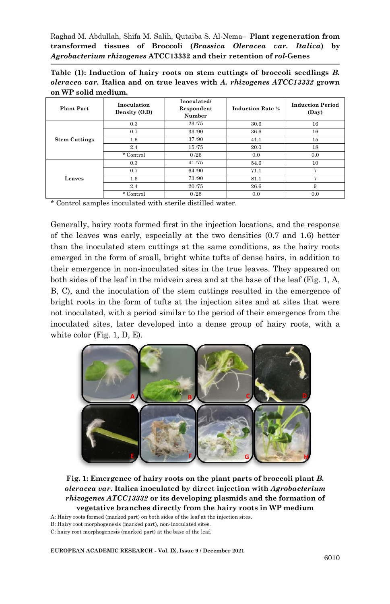**Table (1): Induction of hairy roots on stem cuttings of broccoli seedlings** *B. oleracea var.* **Italica and on true leaves with** *A. rhizogenes ATCC13332* **grown on WP solid medium.**

| Plant Part           | Inoculation<br>Density $(0,D)$ | Inoculated/<br>Respondent<br>Number | <b>Induction Rate %</b> | <b>Induction Period</b><br>(Day) |
|----------------------|--------------------------------|-------------------------------------|-------------------------|----------------------------------|
| <b>Stem Cuttings</b> | 0.3                            | 23/75                               | 30.6                    | 16                               |
|                      | 0.7                            | 33/90                               | 36.6                    | 16                               |
|                      | $1.6\,$                        | 37/90                               | 41.1                    | 15                               |
|                      | 2.4                            | 15/75                               | 20.0                    | 18                               |
|                      | * Control                      | 0/25                                | 0.0                     | 0.0                              |
| Leaves               | 0.3                            | 41/75                               | 54.6                    | 10                               |
|                      | 0.7                            | 64/90                               | 71.1                    | 7                                |
|                      | $1.6\,$                        | 73/90                               | 81.1                    | 7                                |
|                      | 2.4                            | 20/75                               | 26.6                    | 9                                |
|                      | * Control                      | 0/25                                | 0.0                     | 0.0                              |

\* Control samples inoculated with sterile distilled water.

Generally, hairy roots formed first in the injection locations, and the response of the leaves was early, especially at the two densities (0.7 and 1.6) better than the inoculated stem cuttings at the same conditions, as the hairy roots emerged in the form of small, bright white tufts of dense hairs, in addition to their emergence in non-inoculated sites in the true leaves. They appeared on both sides of the leaf in the midvein area and at the base of the leaf (Fig. 1, A, B, C), and the inoculation of the stem cuttings resulted in the emergence of bright roots in the form of tufts at the injection sites and at sites that were not inoculated, with a period similar to the period of their emergence from the inoculated sites, later developed into a dense group of hairy roots, with a white color (Fig. 1, D, E).



**Fig. 1: Emergence of hairy roots on the plant parts of broccoli plant** *B. oleracea var.* **Italica inoculated by direct injection with** *Agrobacterium rhizogenes ATCC13332* **or its developing plasmids and the formation of vegetative branches directly from the hairy roots in WP medium**

**EUROPEAN ACADEMIC RESEARCH - Vol. IX, Issue 9 / December 2021**

A: Hairy roots formed (marked part) on both sides of the leaf at the injection sites. B: Hairy root morphogenesis (marked part), non-inoculated sites. C: hairy root morphogenesis (marked part) at the base of the leaf.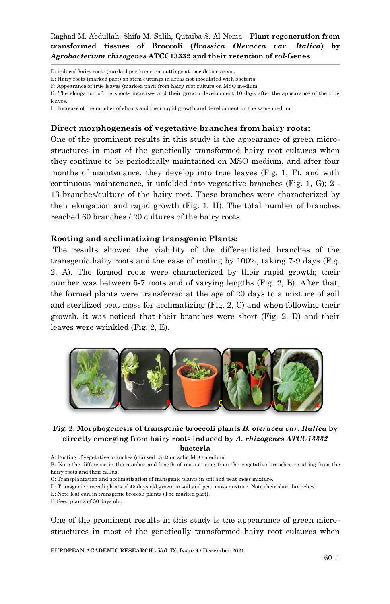D: induced hairy roots (marked part) on stem cuttings at inoculation areas.

E: Hairy roots (marked part) on stem cuttings in areas not inoculated with bacteria.

G: The elongation of the shoots increases and their growth development 10 days after the appearance of the true leaves.

H: Increase of the number of shoots and their rapid growth and development on the same medium.

#### **Direct morphogenesis of vegetative branches from hairy roots:**

One of the prominent results in this study is the appearance of green microstructures in most of the genetically transformed hairy root cultures when they continue to be periodically maintained on MSO medium, and after four months of maintenance, they develop into true leaves (Fig. 1, F), and with continuous maintenance, it unfolded into vegetative branches (Fig. 1, G); 2 - 13 branches/culture of the hairy root. These branches were characterized by their elongation and rapid growth (Fig. 1, H). The total number of branches reached 60 branches / 20 cultures of the hairy roots.

#### **Rooting and acclimatizing transgenic Plants:**

The results showed the viability of the differentiated branches of the transgenic hairy roots and the ease of rooting by 100%, taking 7-9 days (Fig. 2, A). The formed roots were characterized by their rapid growth; their number was between 5-7 roots and of varying lengths (Fig. 2, B). After that, the formed plants were transferred at the age of 20 days to a mixture of soil and sterilized peat moss for acclimatizing (Fig. 2, C) and when following their growth, it was noticed that their branches were short (Fig. 2, D) and their leaves were wrinkled (Fig. 2, E).



#### **Fig. 2: Morphogenesis of transgenic broccoli plants** *B. oleracea var. Italica* **by directly emerging from hairy roots induced by** *A. rhizogenes ATCC13332*  **bacteria**

A: Rooting of vegetative branches (marked part) on solid MSO medium.

B: Note the difference in the number and length of roots arising from the vegetative branches resulting from the hairy roots and their callus.

C: Transplantation and acclimatization of transgenic plants in soil and peat moss mixture.

D: Transgenic broccoli plants of 45 days old grown in soil and peat moss mixture. Note their short branches.

E: Note leaf curl in transgenic broccoli plants (The marked part).

F: Seed plants of 50 days old.

One of the prominent results in this study is the appearance of green microstructures in most of the genetically transformed hairy root cultures when

**EUROPEAN ACADEMIC RESEARCH - Vol. IX, Issue 9 / December 2021**

F: Appearance of true leaves (marked part) from hairy root culture on MSO medium.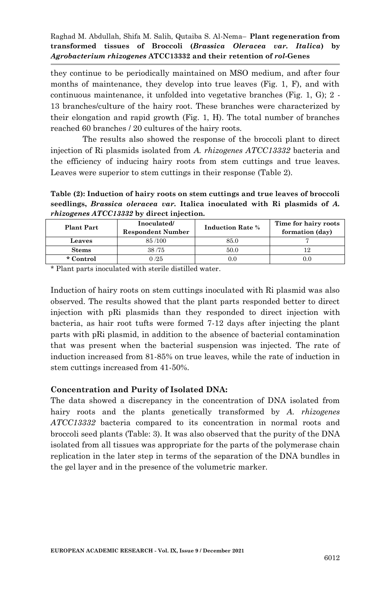they continue to be periodically maintained on MSO medium, and after four months of maintenance, they develop into true leaves (Fig. 1, F), and with continuous maintenance, it unfolded into vegetative branches (Fig. 1, G); 2 - 13 branches/culture of the hairy root. These branches were characterized by their elongation and rapid growth (Fig. 1, H). The total number of branches reached 60 branches / 20 cultures of the hairy roots.

The results also showed the response of the broccoli plant to direct injection of Ri plasmids isolated from *A. rhizogenes ATCC13332* bacteria and the efficiency of inducing hairy roots from stem cuttings and true leaves. Leaves were superior to stem cuttings in their response (Table 2).

**Table (2): Induction of hairy roots on stem cuttings and true leaves of broccoli seedlings,** *Brassica oleracea var.* **Italica inoculated with Ri plasmids of** *A. rhizogenes ATCC13332* **by direct injection.**

| <b>Plant Part</b> | Inoculated/<br><b>Respondent Number</b> | <b>Induction Rate %</b> | Time for hairy roots<br>formation (day) |
|-------------------|-----------------------------------------|-------------------------|-----------------------------------------|
| Leaves            | 85/100                                  | 85.0                    |                                         |
| <b>Stems</b>      | 38/75                                   | 50.0                    |                                         |
| * Control         | 0/25                                    | 0.0                     | 0.0                                     |

\* Plant parts inoculated with sterile distilled water.

Induction of hairy roots on stem cuttings inoculated with Ri plasmid was also observed. The results showed that the plant parts responded better to direct injection with pRi plasmids than they responded to direct injection with bacteria, as hair root tufts were formed 7-12 days after injecting the plant parts with pRi plasmid, in addition to the absence of bacterial contamination that was present when the bacterial suspension was injected. The rate of induction increased from 81-85% on true leaves, while the rate of induction in stem cuttings increased from 41-50%.

## **Concentration and Purity of Isolated DNA:**

The data showed a discrepancy in the concentration of DNA isolated from hairy roots and the plants genetically transformed by *A. rhizogenes ATCC13332* bacteria compared to its concentration in normal roots and broccoli seed plants (Table: 3). It was also observed that the purity of the DNA isolated from all tissues was appropriate for the parts of the polymerase chain replication in the later step in terms of the separation of the DNA bundles in the gel layer and in the presence of the volumetric marker.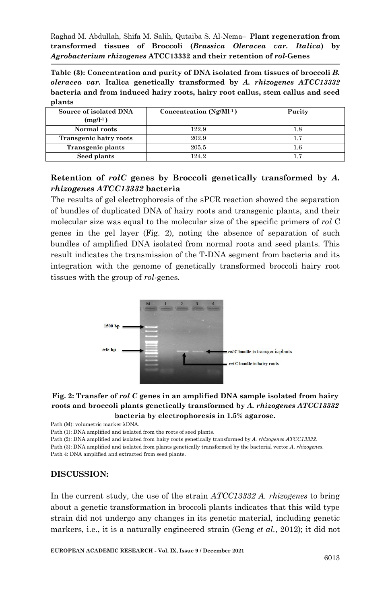**Table (3): Concentration and purity of DNA isolated from tissues of broccoli** *B. oleracea var.* **Italica genetically transformed by** *A. rhizogenes ATCC13332* **bacteria and from induced hairy roots, hairy root callus, stem callus and seed plants**

| Source of isolated DNA<br>$(mg/l^{-1})$ | Concentration $(Ng/Ml^{-1})$ | Purity |
|-----------------------------------------|------------------------------|--------|
| Normal roots                            | 122.9                        | 1.8    |
| <b>Transgenic hairy roots</b>           | 202.9                        | 17     |
| <b>Transgenic plants</b>                | 205.5                        | 1.6    |
| Seed plants                             | 124.2                        |        |

# **Retention of** *rolC* **genes by Broccoli genetically transformed by** *A. rhizogenes ATCC13332* **bacteria**

The results of gel electrophoresis of the sPCR reaction showed the separation of bundles of duplicated DNA of hairy roots and transgenic plants, and their molecular size was equal to the molecular size of the specific primers of *rol* C genes in the gel layer (Fig. 2), noting the absence of separation of such bundles of amplified DNA isolated from normal roots and seed plants. This result indicates the transmission of the T-DNA segment from bacteria and its integration with the genome of genetically transformed broccoli hairy root tissues with the group of *rol*-genes.



## **Fig. 2: Transfer of** *rol C* **genes in an amplified DNA sample isolated from hairy roots and broccoli plants genetically transformed by** *A. rhizogenes ATCC13332*  **bacteria by electrophoresis in 1.5% agarose.**

Path (M): volumetric marker λDNA.

Path (1): DNA amplified and isolated from the roots of seed plants.

Path (2): DNA amplified and isolated from hairy roots genetically transformed by *A. rhizogenes ATCC13332*. Path (3): DNA amplified and isolated from plants genetically transformed by the bacterial vector *A. rhizogenes*. Path 4: DNA amplified and extracted from seed plants.

## **DISCUSSION:**

In the current study, the use of the strain *ATCC13332 A. rhizogenes* to bring about a genetic transformation in broccoli plants indicates that this wild type strain did not undergo any changes in its genetic material, including genetic markers, i.e., it is a naturally engineered strain (Geng *et al.*, 2012); it did not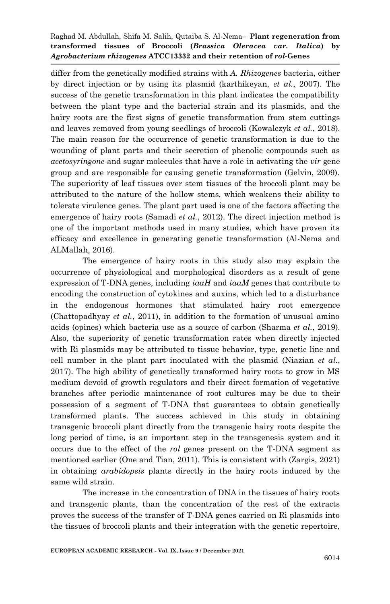differ from the genetically modified strains with *A. Rhizogenes* bacteria, either by direct injection or by using its plasmid (karthikeyan, *et al.*, 2007). The success of the genetic transformation in this plant indicates the compatibility between the plant type and the bacterial strain and its plasmids, and the hairy roots are the first signs of genetic transformation from stem cuttings and leaves removed from young seedlings of broccoli (Kowalczyk *et al.*, 2018). The main reason for the occurrence of genetic transformation is due to the wounding of plant parts and their secretion of phenolic compounds such as *acetosyringone* and sugar molecules that have a role in activating the *vir* gene group and are responsible for causing genetic transformation (Gelvin, 2009). The superiority of leaf tissues over stem tissues of the broccoli plant may be attributed to the nature of the hollow stems, which weakens their ability to tolerate virulence genes. The plant part used is one of the factors affecting the emergence of hairy roots (Samadi *et al.*, 2012). The direct injection method is one of the important methods used in many studies, which have proven its efficacy and excellence in generating genetic transformation (Al-Nema and ALMallah, 2016).

The emergence of hairy roots in this study also may explain the occurrence of physiological and morphological disorders as a result of gene expression of T-DNA genes, including *iaaH* and *iaaM* genes that contribute to encoding the construction of cytokines and auxins, which led to a disturbance in the endogenous hormones that stimulated hairy root emergence (Chattopadhyay *et al.*, 2011), in addition to the formation of unusual amino acids (opines) which bacteria use as a source of carbon (Sharma *et al.*, 2019). Also, the superiority of genetic transformation rates when directly injected with Ri plasmids may be attributed to tissue behavior, type, genetic line and cell number in the plant part inoculated with the plasmid (Niazian *et al.*, 2017). The high ability of genetically transformed hairy roots to grow in MS medium devoid of growth regulators and their direct formation of vegetative branches after periodic maintenance of root cultures may be due to their possession of a segment of T-DNA that guarantees to obtain genetically transformed plants. The success achieved in this study in obtaining transgenic broccoli plant directly from the transgenic hairy roots despite the long period of time, is an important step in the transgenesis system and it occurs due to the effect of the *rol* genes present on the T-DNA segment as mentioned earlier (One and Tian, 2011). This is consistent with (Zargis, 2021) in obtaining *arabidopsis* plants directly in the hairy roots induced by the same wild strain.

The increase in the concentration of DNA in the tissues of hairy roots and transgenic plants, than the concentration of the rest of the extracts proves the success of the transfer of T-DNA genes carried on Ri plasmids into the tissues of broccoli plants and their integration with the genetic repertoire,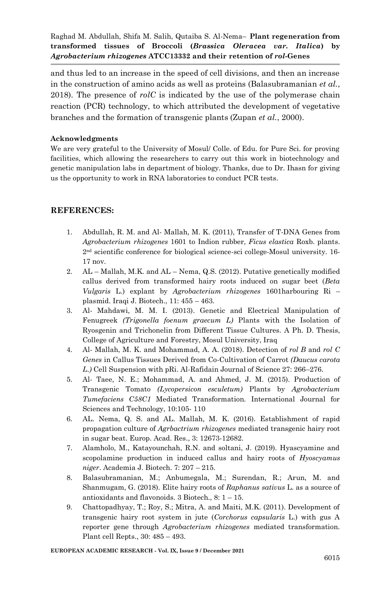and thus led to an increase in the speed of cell divisions, and then an increase in the construction of amino acids as well as proteins (Balasubramanian *et al.*, 2018). The presence of *rolC* is indicated by the use of the polymerase chain reaction (PCR) technology, to which attributed the development of vegetative branches and the formation of transgenic plants (Zupan *et al.*, 2000).

#### **Acknowledgments**

We are very grateful to the University of Mosul/ Colle. of Edu. for Pure Sci. for proving facilities, which allowing the researchers to carry out this work in biotechnology and genetic manipulation labs in department of biology. Thanks, due to Dr. Ihasn for giving us the opportunity to work in RNA laboratories to conduct PCR tests.

## **REFERENCES:**

- 1. Abdullah, R. M. and Al- Mallah, M. K. (2011), Transfer of T-DNA Genes from *Agrobacterium rhizogenes* 1601 to Indion rubber, *Ficus elastica* Roxb. plants. 2nd scientific conference for biological science-sci college-Mosul university. 16- 17 nov.
- 2. AL Mallah, M.K. and AL Nema, Q.S. (2012). Putative genetically modified callus derived from transformed hairy roots induced on sugar beet (*Beta Vulgaris* L.) explant by *Agrobacterium rhizogenes* 1601harbouring Ri – plasmid. Iraqi J. Biotech., 11: 455 – 463.
- 3. Al- Mahdawi, M. M. I. (2013). Genetic and Electrical Manipulation of Fenugreek *(Trigonella foenum graecum L)* Plants with the Isolation of Ryosgenin and Trichonelin from Different Tissue Cultures. A Ph. D. Thesis, College of Agriculture and Forestry, Mosul University, Iraq
- 4. Al- Mallah, M. K. and Mohammad, A. A. (2018). Detection of *rol B* and *rol C Genes* in Callus Tissues Derived from Co-Cultivation of Carrot *(Daucus carota L.)* Cell Suspension with pRi. Al-Rafidain Journal of Science 27: 266–276.
- 5. Al- Taee, N. E.; Mohammad, A. and Ahmed, J. M. (2015). Production of Transgenic Tomato *(Lycopersicon esculetum)* Plants by *Agrobacterium Tumefaciens C58C1* Mediated Transformation*.* International Journal for Sciences and Technology, 10:105- 110
- 6. AL. Nema, Q. S. and AL. Mallah, M. K. (2016). Establishment of rapid propagation culture of *Agrbactrium rhizogenes* mediated transgenic hairy root in sugar beat. Europ. Acad. Res., 3: 12673-12682.
- 7. Alamholo, M., Katayounchah, R.N. and soltani, J. (2019). Hyascyamine and scopolamine production in induced callus and hairy roots of *Hyoscyamus niger*. Academia J. Biotech. 7: 207 – 215.
- 8. Balasubramanian, M.; Anbumegala, M.; Surendan, R.; Arun, M. and Shanmugam, G. (2018). Elite hairy roots of *Raphanus sativus* L. as a source of antioxidants and flavonoids.  $3$  Biotech.,  $8: 1-15$ .
- 9. Chattopadhyay, T.; Roy, S.; Mitra, A. and Maiti, M.K. (2011). Development of transgenic hairy root system in jute (*Corchorus capsularis* L.) with gus A reporter gene through *Agrobacterium rhizogenes* mediated transformation. Plant cell Repts., 30: 485 – 493.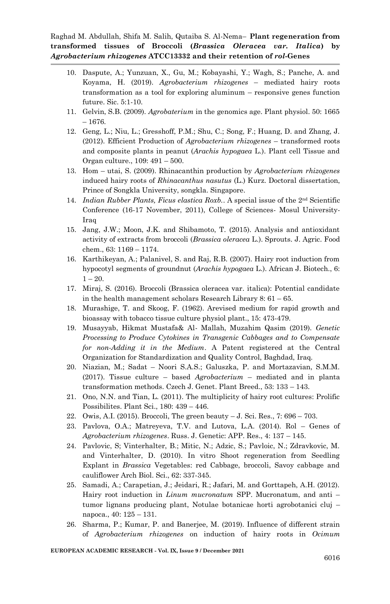- 10. Daspute, A.; Yunzuan, X., Gu, M.; Kobayashi, Y.; Wagh, S.; Panche, A. and Koyama, H. (2019). *Agrobacterium rhizogenes* – mediated hairy roots transformation as a tool for exploring aluminum – responsive genes function future. Sic. 5:1-10.
- 11. Gelvin, S.B. (2009). *Agrobaterium* in the genomics age. Plant physiol. 50: 1665 – 1676.
- 12. Geng, L.; Niu, L.; Gresshoff, P.M.; Shu, C.; Song, F.; Huang, D. and Zhang, J. (2012). Efficient Production of *Agrobacterium rhizogenes* – transformed roots and composite plants in peanut (*Arachis hypogaea* L.). Plant cell Tissue and Organ culture., 109: 491 – 500.
- 13. Hom utai, S. (2009). Rhinacanthin production by *Agrobacterium rhizogenes* induced hairy roots of *Rhinacanthus nasutus* (L.) Kurz. Doctoral dissertation, Prince of Songkla University, songkla. Singapore.
- 14. *Indian Rubber Plants, Ficus elastica Roxb.*. A special issue of the 2nd Scientific Conference (16-17 November, 2011), College of Sciences- Mosul University-Iraq
- 15. Jang, J.W.; Moon, J.K. and Shibamoto, T. (2015). Analysis and antioxidant activity of extracts from broccoli (*Brassica oleracea* L.). Sprouts. J. Agric. Food chem., 63: 1169 – 1174.
- 16. Karthikeyan, A.; Palanivel, S. and Raj, R.B. (2007). Hairy root induction from hypocotyl segments of groundnut (*Arachis hypogaea* L.). African J. Biotech., 6:  $1 - 20.$
- 17. Miraj, S. (2016). Broccoli (Brassica oleracea var. italica): Potential candidate in the health management scholars Research Library 8: 61 – 65.
- 18. Murashige, T. and Skoog, F. (1962). Arevised medium for rapid growth and bioassay with tobacco tissue culture physiol plant., 15: 473-479.
- 19. Musayyab, Hikmat Mustafa& Al- Mallah, Muzahim Qasim (2019). *Genetic Processing to Produce Cytokines in Transgenic Cabbages and to Compensate for non-Adding it in the Medium*. A Patent registered at the Central Organization for Standardization and Quality Control, Baghdad, Iraq.
- 20. Niazian, M.; Sadat Noori S.A.S.; Galuszka, P. and Mortazavian, S.M.M. (2017). Tissue culture – based *Agrobacterium* – mediated and in planta transformation methods. Czech J. Genet. Plant Breed., 53: 133 – 143.
- 21. Ono, N.N. and Tian, L. (2011). The multiplicity of hairy root cultures: Prolific Possibilites. Plant Sci., 180: 439 – 446.
- 22. Owis, A.I. (2015). Broccoli, The green beauty J. Sci. Res., 7: 696 703.
- 23. Pavlova, O.A.; Matreyeva, T.V. and Lutova, L.A. (2014). Rol Genes of *Agrobacterium rhizogenes*. Russ. J. Genetic: APP. Res., 4: 137 – 145.
- 24. Pavlovic, S; Vinterhalter, B.; Mitic, N.; Adzic, S.; Pavloic, N.; Zdravkovic, M. and Vinterhalter, D. (2010). In vitro Shoot regeneration from Seedling Explant in *Brassica* Vegetables: red Cabbage, broccoli, Savoy cabbage and cauliflower Arch Biol. Sci., 62: 337-345.
- 25. Samadi, A.; Carapetian, J.; Jeidari, R.; Jafari, M. and Gorttapeh, A.H. (2012). Hairy root induction in *Linum mucronatum* SPP. Mucronatum, and anti – tumor lignans producing plant, Notulae botanicae horti agrobotanici cluj – napoca., 40: 125 – 131.
- 26. Sharma, P.; Kumar, P. and Banerjee, M. (2019). Influence of different strain of *Agrobacterium rhizogenes* on induction of hairy roots in *Ocimum*